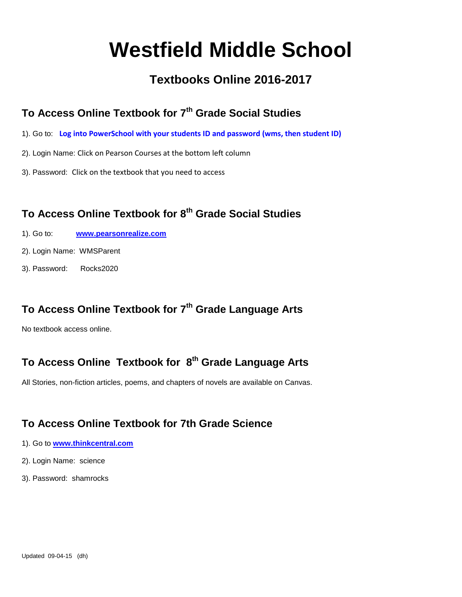# **Westfield Middle School**

# **Textbooks Online 2016-2017**

#### **To Access Online Textbook for 7th Grade Social Studies**

- 1). Go to: **Log into PowerSchool with your students ID and password (wms, then student ID)**
- 2). Login Name: Click on Pearson Courses at the bottom left column
- 3). Password: Click on the textbook that you need to access

# **To Access Online Textbook for 8th Grade Social Studies**

- 1). Go to: **[www.pearsonrealize.com](http://www.pearsonrealize.com/)**
- 2). Login Name: WMSParent
- 3). Password: Rocks2020

## **To Access Online Textbook for 7th Grade Language Arts**

No textbook access online.

#### **To Access Online Textbook for 8 th Grade Language Arts**

All Stories, non-fiction articles, poems, and chapters of novels are available on Canvas.

#### **To Access Online Textbook for 7th Grade Science**

- 1). Go to **[www.thinkcentral.com](http://www.thinkcentral.com/)**
- 2). Login Name: science
- 3). Password: shamrocks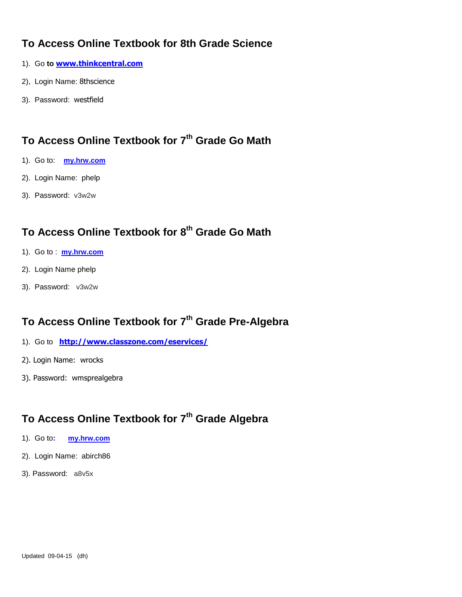#### **To Access Online Textbook for 8th Grade Science**

- 1). Go **to [www.thinkcentral.com](http://www.thinkcentral.com/)**
- 2), Login Name: 8thscience
- 3). Password: westfield

# **To Access Online Textbook for 7th Grade Go Math**

- 1). Go to: **[my.hrw.com](http://my.hrw.com/)**
- 2). Login Name: phelp
- 3). Password: v3w2w

#### **To Access Online Textbook for 8 th Grade Go Math**

- 1). Go to : **[my.hrw.com](http://my.hrw.com/)**
- 2). Login Name phelp
- 3). Password: v3w2w

#### **To Access Online Textbook for 7th Grade Pre-Algebra**

- 1). Go to **<http://www.classzone.com/eservices/>**
- 2). Login Name: wrocks
- 3). Password: wmsprealgebra

# **To Access Online Textbook for 7th Grade Algebra**

- 1). Go to**: [my.hrw.com](http://my.hrw.com/)**
- 2). Login Name: abirch86
- 3). Password: a8v5x